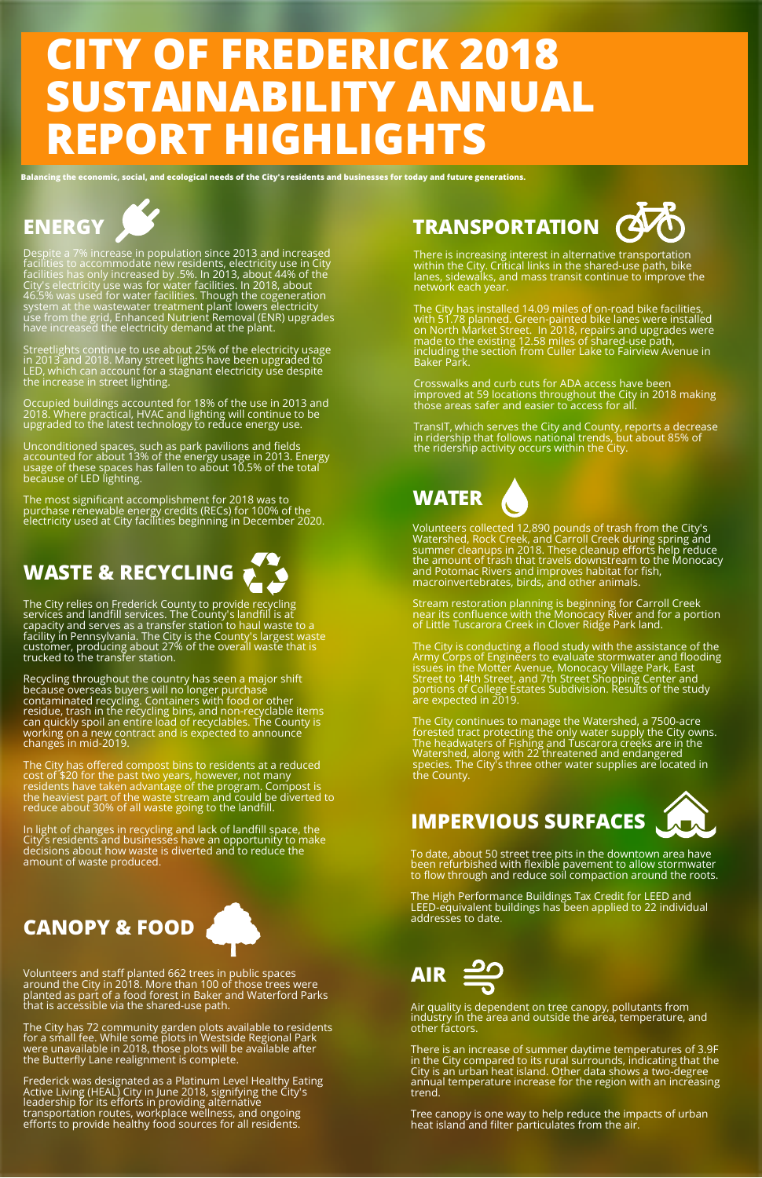# **CITY OF FREDERICK 2018 SUSTAINABILITY ANNUAL REPORT HIGHLIGHTS**

Balancing the economic, social, and ecological needs of the City's residents and businesses for today and future generations.



Despite a 7% increase in population since 2013 and increased facilities to accommodate new residents, electricity use in City facilities has only increased by .5%. In 2013, about 44% of the City's electricity use was for water facilities. In 2018, about 46.5% was used for water facilities. Though the cogeneration system at the wastewater treatment plant lowers electricity use from the grid, Enhanced Nutrient Removal (ENR) upgrades have increased the electricity demand at the plant.

Streetlights continue to use about 25% of the electricity usage in 2013 and 2018. Many street lights have been upgraded to LED, which can account for a stagnant electricity use despite the increase in street lighting.

Occupied buildings accounted for 18% of the use in 2013 and 2018. Where practical, HVAC and lighting will continue to be upgraded to the latest technology to reduce energy use.

Unconditioned spaces, such as park pavilions and fields accounted for about 13% of the energy usage in 2013. Energy usage of these spaces has fallen to about 10.5% of the total  $\tilde{\phantom{a}}$ because of LED lighting.

The most significant accomplishment for 2018 was to purchase renewable energy credits (RECs) for 100% of the electricity used at City facilities beginning in December 2020.

# **WASTE & RECYCLING**



Recycling throughout the country has seen a major shift because overseas buyers will no longer purchase contaminated recycling. Containers with food or other residue, trash in the recycling bins, and non-recyclable items can quickly spoil an entire load of recyclables. The County is<br>working on a new contract and is expected to announce changes in mid-2019.

The City has offered compost bins to residents at a reduced cost of \$20 for the past two years, however, not many residents have taken advantage of the program. Compost is the heaviest part of the waste stream and could be diverted to reduce about 30% of all waste going to the landfill.

In light of changes in recycling and lack of landfill space, the City's residents and businesses have an opportunity to make decisions about how waste is diverted and to reduce the amount of waste produced.

# **CANOPY & FOOD**



Volunteers and staff planted 662 trees in public spaces around the City in 2018. More than 100 of those trees were planted as part of a food forest in Baker and Waterford Parks that is accessible via the shared-use path.

The City has 72 community garden plots available to residents for a small fee. While some plots in Westside Regional Park<br>were unavailable in 2018, those plots will be available after the Butterfly Lane realignment is complete.

Frederick was designated as a Platinum Level Healthy Eating Active Living (HEAL) City in June 2018, signifying the City's leadership for its efforts in providing alternative transportation routes, workplace wellness, and ongoing efforts to provide healthy food sources for all residents.



There is increasing interest in alternative transportation<br>within the City. Critical links in the shared-use path, bike lanes, sidewalks, and mass transit continue to improve the network each year.

The City has installed 14.09 miles of on-road bike facilities,<br>with 51.78 planned. Green-painted bike lanes were installed on North Market Street. In 2018, repairs and upgrades were made to the existing 12.58 miles of shared-use path, including the section from Culler Lake to Fairview Avenue in Baker Park.

Crosswalks and curb cuts for ADA access have been improved at 59 locations throughout the City in 2018 making those areas safer and easier to access for all.

TransIT, which serves the City and County, reports a decrease in ridership that follows national trends, but about 85% of the ridership activity occurs within the City.

# **WATER**



Stream restoration planning is beginning for Carroll Creek near its confluence with the Monocacy River and for a portion of Little Tuscarora Creek in Clover Ridge Park land.

The City is conducting a flood study with the assistance of the Army Corps of Engineers to evaluate stormwater and flooding issues in the Motter Avenue, Monocacy Village Park, East Street to 14th Street, and 7th Street Shopping Center and portions of College Estates Subdivision. Results of the study are expected in 2019.

The City continues to manage the Watershed, a 7500-acre forested tract protecting the only water supply the City owns.<br>The headwaters of Fishing and Tuscarora creeks are in the Watershed, along with 22 threatened and endangered species. The City's three other water supplies are located in the County.

**IMPERVIOUS SURFACES**



To date, about 50 street tree pits in the downtown area have been refurbished with flexible pavement to allow stormwater to flow through and reduce soil compaction around the roots.

The High Performance Buildings Tax Credit for LEED and LEED-equivalent buildings has been applied to 22 individual addresses to date.



Air quality is dependent on tree canopy, pollutants from industry in the area and outside the area, temperature, and other factors.

There is an increase of summer daytime temperatures of 3.9F in the City compared to its rural surrounds, indicating that the City is an urban heat island. Other data shows a two-degree annual temperature increase for the region with an increasing trend.

Tree canopy is one way to help reduce the impacts of urban heat island and filter particulates from the air.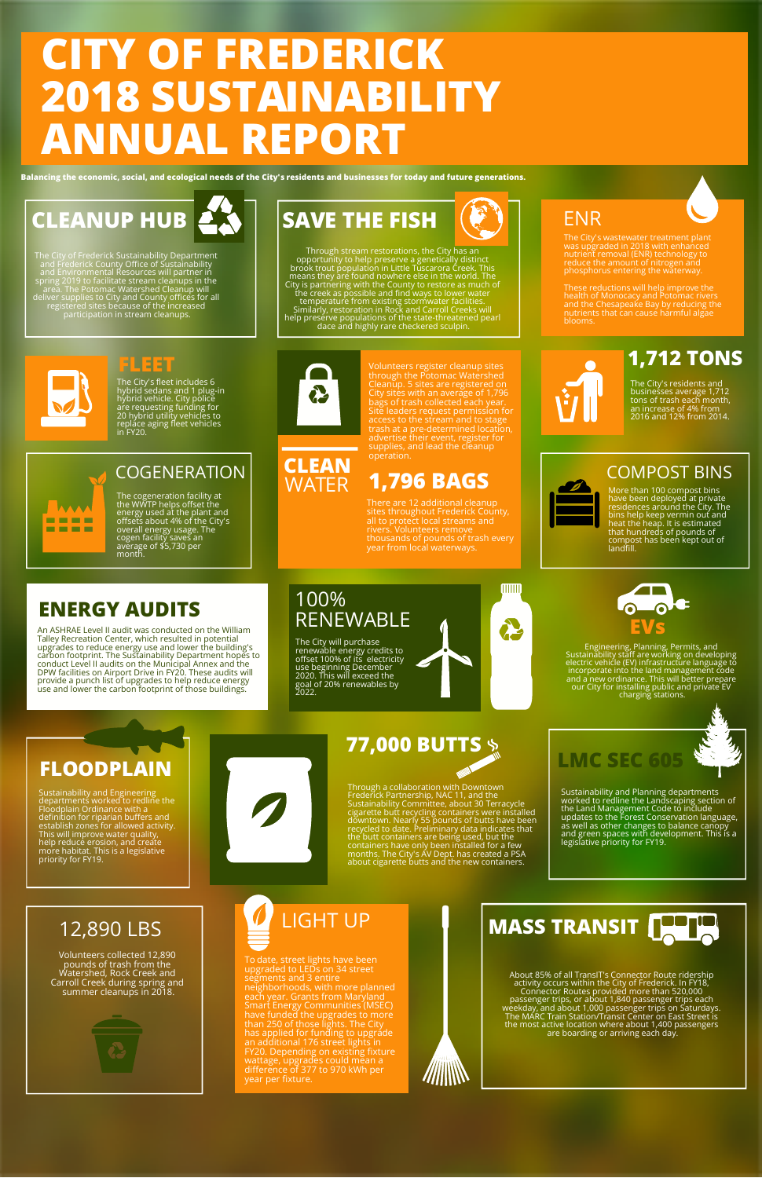# **CITY OF FREDERICK 2018 SUSTAINABILITY ANNUAL REPORT**

Balancing the economic, social, and ecological needs of the City's residents and businesses for today and future generations.



The City of Frederick Sustainability Department<br>and Frederick Courty Office of Sustainability<br>and Environmental Resources will partner in<br>spring 2019 to facilitate stream cleanups in the<br>area. The Potomac Watershed Cleanup

## **FLEET**

The City's fleet includes 6 hybrid sedans and 1 plug-in hybrid vehicle. City police are requesting funding for 20 hybrid utility vehicles to replace aging fleet vehicles in FY20.



#### COGENERATION

The cogeneration facility at the WWTP helps offset the energy used at the plant and offsets about 4% of the City's overall energy usage. The cogen facility saves an average of \$5,730 per month.

# **ENERGY AUDITS**

An ASHRAE Level II audit was conducted on the William<br>Talley Recreation Center, which resulted in potential<br>upgrades to reduce energy use and lower the building's<br>carbon footprint. The Sustainability Department hopes to<br>co provide a punch list of upgrades to help reduce energy<br>use and lower the carbon footprint of those buildings.



**SAVE THE FISH**

**CLEAN** WATER Volunteers register cleanup sites through the Potomac Watershed Cleanup. 5 sites are registered on  $\hbox{\large\bf C}$ ity sites with an average of 1,796  $\hbox{\large\bf C}$ bags of trash collected each year.<br>Site leaders request permission for<br>access to the stream and to stage<br>trash at a pre-determined location,<br>supplies, and lead the cleanup<br>operation.

# **1,796 BAGS**

sites throughout Frederick County,<br>all to protect local streams and<br>rivers. Volunteers remove<br>thousands of pounds of trash every<br>year from local waterways.

#### 100% RENEWABLE

The City will purchase renewable energy credits to offset 100% of its electricity use beginning December 2020. This will exceed the goal of 20% renewables by 2022.



#### ENR

The City's wastewater treatment plant<br>was upgraded in 2018 with enhanced<br>nutrient removal (ENR) technology to<br>reduce the amount of nitrogen and<br>phosphorus entering the waterway.

These reductions will help improve the<br>health of Monocacy and Potomac rivers<br>and the Chesapeake Bay by reducing the<br>nutrients that can cause harmful algae blooms.

## **1,712 TONS**

The City's residents and businesses average 1,712 tons of trash each month, an increase of 4% from 2016 and 12% from 2014.

#### COMPOST BINS

More than 100 compost bins<br>have been deployed at private<br>residences around the City. The<br>bins help keep vermin out and<br>that hundreds of pounds of<br>compost has been kept out of<br>landfill.



Engineering, Planning, Permits, and Sustainābility stāff are working on developing<br>electric vehicle (EV) infrastructure language to incorporate into the land management code and a new ordinance. This will better prepare<br>our City for installing public and private EV<br>charging stations.

Sustainability and Planning departments<br>worked to redline the Landscaping section of<br>the Land Management Code to include<br>updates to the Forest Conservation language,<br>as well as other changes to balance canopy<br>and green spa

**LMC SEC 605**

# **FLOODPLAIN**

Sustainability and Engineering departments worked to redline the Floodplain Ordinance with <sup>a</sup> definition for riparian buffers and establish zones for allowed activity.<br>This will improve water quality,<br>help reduce erosion, and create<br>more habitat. This is a legislative<br>priority for FY19.

# 12,890 LBS

Volunteers collected 12,890 pounds of trash from the Watershed, Rock Creek and Carroll Creek during spring and summer cleanups in 2018.



# LIGHT UP

To date, street lights have been<br>upgraded to LEDs on 34 street<br>segments and 3 entire<br>neighborhoods, with more planned<br>each year. Grants from Maryland<br>Smart Energy Communities (MSEC)<br>have funded the upgrades to more<br>than 25



About 85% of all TransIT's Connector Route ridership activity occurs within the City of Frederick. In FY18, Connector Routes provided more than 520,000 passenger trips, or about 1,840 passenger trips each<br>weekday, and about 1,000 passenger trips on Saturdays.<br>The MARC Train Station/Transit Center on East Street is the most active location where about 1,400 passengers<br>are boarding or arriving each day.



# **77,000 BUTTS**

Through a collaboration with Downtown<br>Frederick Partnership, NAC 11, and the<br>Sustainability Committee, about 30 Terracycle<br>cigarette butt recycling containers were installed<br>downtown. Nearly 55 pounds of buts have been<br>rec